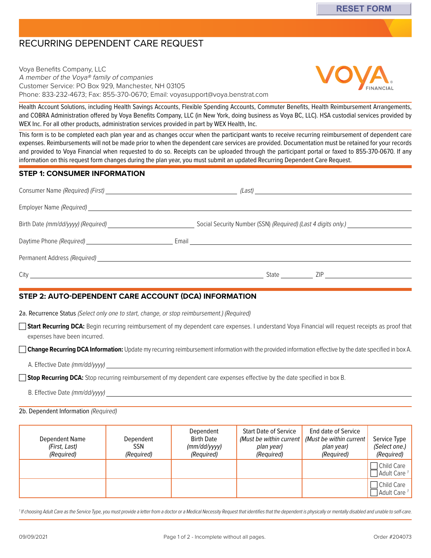# RECURRING DEPENDENT CARE REQUEST

Voya Benefits Company, LLC A member of the Voya® family of companies Customer Service: PO Box 929, Manchester, NH 03105 Phone: 833-232-4673; Fax: 855-370-0670; Email: [voyasupport@voya.benstrat.com](mailto:voyasupport@voya.benstrat.com)



Health Account Solutions, including Health Savings Accounts, Flexible Spending Accounts, Commuter Benefits, Health Reimbursement Arrangements, and COBRA Administration offered by Voya Benefits Company, LLC (in New York, doing business as Voya BC, LLC). HSA custodial services provided by WEX Inc. For all other products, administration services provided in part by WEX Health, Inc.

This form is to be completed each plan year and as changes occur when the participant wants to receive recurring reimbursement of dependent care expenses. Reimbursements will not be made prior to when the dependent care services are provided. Documentation must be retained for your records and provided to Voya Financial when requested to do so. Receipts can be uploaded through the participant portal or faxed to 855-370-0670. If any information on this request form changes during the plan year, you must submit an updated Recurring Dependent Care Request.

#### **STEP 1: CONSUMER INFORMATION**

|                              | Social Security Number (SSN) (Required) (Last 4 digits only.) |
|------------------------------|---------------------------------------------------------------|
|                              |                                                               |
| Permanent Address (Required) |                                                               |
| $City$ <sub>_____</sub>      | State ZIP                                                     |

### **STEP 2: AUTO-DEPENDENT CARE ACCOUNT (DCA) INFORMATION**

2a. Recurrence Status (Select only one to start, change, or stop reimbursement.) (Required)

□ Start Recurring DCA: Begin recurring reimbursement of my dependent care expenses. I understand Voya Financial will request receipts as proof that expenses have been incurred.

**Change Recurring DCA Information:** Update my recurring reimbursement information with the provided information effective by the date specified in box A.

A. Effective Date (mm/dd/yyyy)

**Stop Recurring DCA:** Stop recurring reimbursement of my dependent care expenses effective by the date specified in box B.

B. Effective Date (mm/dd/yyyy)

#### 2b. Dependent Information (Required)

| Dependent Name<br>(First, Last)<br>(Required) | Dependent<br><b>SSN</b><br>(Required) | Dependent<br><b>Birth Date</b><br>(mm/dd/yyyy)<br>(Required) | <b>Start Date of Service</b><br>(Must be within current  <br>plan year)<br>(Required) | End date of Service<br>(Must be within current<br>plan year)<br>(Required) | Service Type<br>(Select one.)<br>(Required) |
|-----------------------------------------------|---------------------------------------|--------------------------------------------------------------|---------------------------------------------------------------------------------------|----------------------------------------------------------------------------|---------------------------------------------|
|                                               |                                       |                                                              |                                                                                       |                                                                            | Child Care<br>$\Box$ Adult Care 1           |
|                                               |                                       |                                                              |                                                                                       |                                                                            | Child Care<br>Adult Care <sup>1</sup>       |

<sup>1</sup> If choosing Adult Care as the Service Type, you must provide a letter from a doctor or a Medical Necessity Request that identifies that the dependent is physically or mentally disabled and unable to self-care.